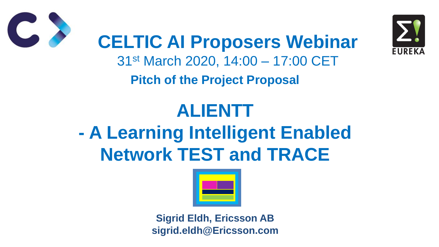

# **Pitch of the Project Proposal**

### **ALIENTT - A Learning Intelligent Enabled Network TEST and TRACE**





**CELTIC AI Proposers Webinar** 31st March 2020, 14:00 – 17:00 CET

**Sigrid Eldh, Ericsson AB sigrid.eldh@Ericsson.com**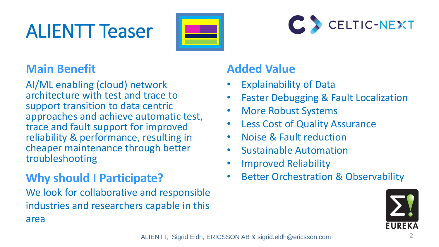## ALIENTT Teaser



### **Main Benefit**

AI/ML enabling (cloud) network architecture with test and trace to support transition to data centric approaches and achieve automatic test, trace and fault support for improved reliability & performance, resulting in cheaper maintenance through better troubleshooting

#### **Added Value**

- **Explainability of Data**
- **Faster Debugging & Fault Localization**
- More Robust Systems
- Less Cost of Quality Assurance
- Noise & Fault reduction
- Sustainable Automation
- Improved Reliability
- **Better Orchestration & Observability**



We look for collaborative and responsible industries and researchers capable in this area

ALIENTT, Sigrid Eldh, ERICSSON AB & sigrid.eldh@ericsson.com 2



### **Why should I Participate?**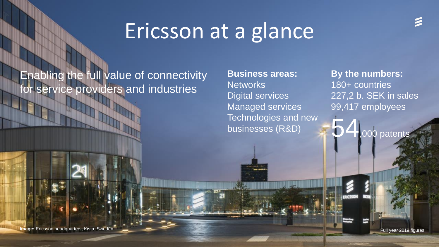**Image:** Ericsson headquarters, Kista, Sweden

## Ericsson at a glance

### Enabling the full value of connectivity for service providers and industries

**By the numbers:** 180+ countries 227,2 b. SEK in sales 99,417 employees

000 patents

**Business areas:** Networks Digital services Managed services Technologies and new businesses (R&D)

Full year 2019 figures

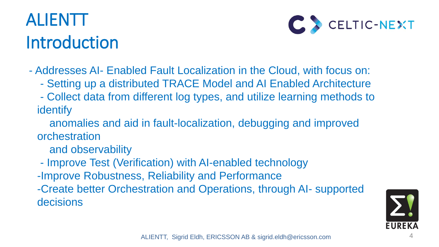### ALIENTT Introduction



- Addresses AI- Enabled Fault Localization in the Cloud, with focus on: - Setting up a distributed TRACE Model and AI Enabled Architecture - Collect data from different log types, and utilize learning methods to
	-
	- identify
	- anomalies and aid in fault-localization, debugging and improved orchestration
		- and observability
	- Improve Test (Verification) with AI-enabled technology -Improve Robustness, Reliability and Performance -Create better Orchestration and Operations, through AI- supported decisions

ALIENTT, Sigrid Eldh, ERICSSON AB & sigrid.eldh@ericsson.com

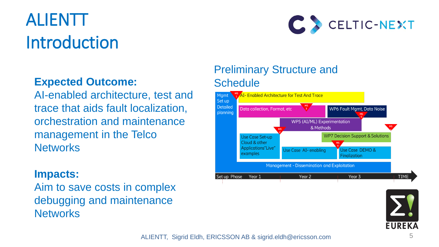### ALIENTT Introduction

AI-enabled architecture, test and trace that aids fault localization, orchestration and maintenance management in the Telco **Networks** 



#### **Expected Outcome:**

Aim to save costs in complex debugging and maintenance **Networks** 



#### Preliminary Structure and **Schedule**



#### **Impacts:**

#### ALIENTT, Sigrid Eldh, ERICSSON AB & sigrid.eldh@ericsson.com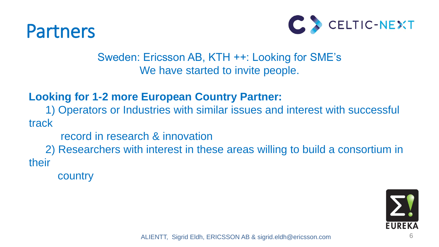### Partners



- Sweden: Ericsson AB, KTH ++: Looking for SME's We have started to invite people.
- 1) Operators or Industries with similar issues and interest with successful
	-
- 2) Researchers with interest in these areas willing to build a consortium in

**Looking for 1-2 more European Country Partner:**  track record in research & innovation

their

country

ALIENTT, Sigrid Eldh, ERICSSON AB & sigrid.eldh@ericsson.com